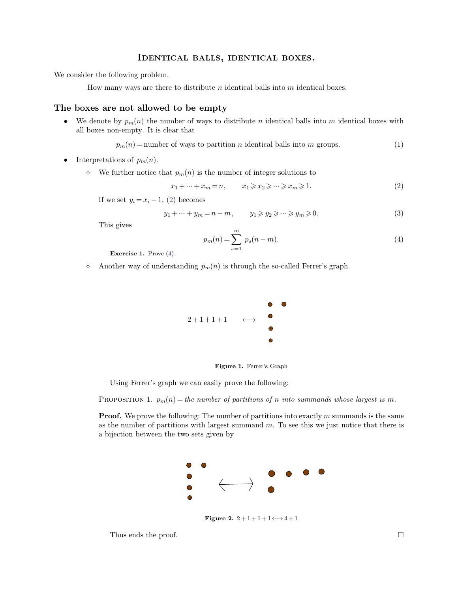## IDENTICAL BALLS, IDENTICAL BOXES. **IDENTICAL BALLS, IDENTICAL BOXES.**<br>We consider the following problem.

**HOENTICAL BALLS, IDENTICAL BOXES.**<br>For the following problem.<br>How many ways are there to distribute *n* identical balls into *m* identical boxes.

**THENTICAL BALLS, IDENTIC**<br>
We consider the following problem.<br>
How many ways are there to distribute *n* identical ball<br> **The boxes are not allowed to be empty**<br>
• We denote by  $p_m(n)$  the number of ways to distribute *n* • We denote by  $p_m(n)$  the number of ways to distribute *n* identical balls into *m* identical boxes with all boxes non-empty. It is clear that **The boxes are not allowed to be empty**<br>• We denote by  $p_m(n)$  the number of ways to d<br>all boxes non-empty. It is clear that<br> $p_m(n) =$  number of ways to partiti • We denote by  $p_m(n)$  the number of ways to distribute *n* identical balls into *m* identical boxes with<br>all boxes non-empty. It is clear that<br> $p_m(n) =$  number of ways to partition *n* identical balls into *m* groups. (1)<br>•

$$
p_m(n) =
$$
number of ways to partition *n* identical balls into *m* groups. (1)

- 
- Interpretations of  $p_m(n)$ .<br>  $\circ$  We further notice that  $p_m(n)$  is the number of integer solutions to<br>  $x_1 + \cdots + x_m = n,$   $x_1 \ge x_2 \ge \cdots \ge x_m \ge 1.$

of ways to partition *n* identical balls into *m* groups. (1)  
\n
$$
t p_m(n) \text{ is the number of integer solutions to}
$$
\n
$$
x_1 + \dots + x_m = n, \qquad x_1 \geq x_2 \geq \dots \geq x_m \geq 1.
$$
\n(2)  
\n2) becomes

If we set  $y_i = x_i - 1$ , (2) becomes<br>  $y_1 + \dots + y_m =$ <br>
This gives

that 
$$
p_m(n)
$$
 is the number of integer solutions to

\n
$$
x_1 + \cdots + x_m = n, \qquad x_1 \geq x_2 \geq \cdots \geq x_m \geq 1.
$$
\n(2) becomes

\n
$$
y_1 + \cdots + y_m = n - m, \qquad y_1 \geq y_2 \geq \cdots \geq y_m \geq 0.
$$
\n(3)

<span id="page-0-1"></span><span id="page-0-0"></span>
$$
p_m(n) = \sum_{s=1}^{m} p_s(n-m).
$$
 (4)

**Exercise 1.** Prove [\(4\)](#page-0-1).  $S-1$ <br>  $\circ$  Another way of understanding  $p_m(n)$  is through the so-called Ferrer's graph.



**Figure 1.** Ferrer's Graph

Using Ferrer's graph we can easily prove the following:

**Figure 1.** Ferrer's Graph<br>Using Ferrer's graph we can easily prove the following:<br>PROPOSITION 1.  $p_m(n) = the number of partitions of n into summands whose largest is m.$ <br>**Proof.** We prove the following: The number of partitions into exactly m summands is the same<br>as the Using Ferrer's graph we can easily prove the following:<br>
PROPOSITION 1.  $p_m(n) = the number of partitions of n into summands whose largest is m.$ <br> **Proof.** We prove the following: The number of partitions into exactly m summands is the same as the number of partitions wit PROPOSITION 1.  $p_m(n) = the number of partitions$ <br>**Proof.** We prove the following: The number of paras the number of partitions with largest summand a bijection between the two sets given by



**Figure 2.**  $2 + 1 + 1 + 1 \leftrightarrow 4 + 1$